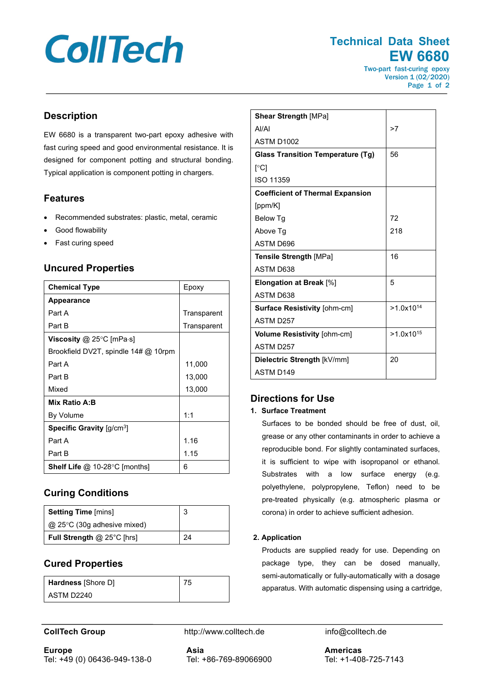# **CollTech**

## **Technical Data Sheet EW 6680**

Two-part fast-curing epoxy Version 1 (02/2020) Page 1 of 2

### **Description**

EW 6680 is a transparent two-part epoxy adhesive with fast curing speed and good environmental resistance. It is designed for component potting and structural bonding. Typical application is component potting in chargers.

#### **Features**

- Recommended substrates: plastic, metal, ceramic
- Good flowability
- Fast curing speed

#### **Uncured Properties**

| <b>Chemical Type</b>                    | Epoxy       |
|-----------------------------------------|-------------|
| <b>Appearance</b>                       |             |
| Part A                                  | Transparent |
| Part B                                  | Transparent |
| <b>Viscosity</b> @ 25°C [mPa $\cdot$ s] |             |
| Brookfield DV2T, spindle $14\#$ @ 10rpm |             |
| Part A                                  | 11,000      |
| Part B                                  | 13,000      |
| Mixed                                   | 13,000      |
| Mix Ratio A:B                           |             |
| By Volume                               | 1:1         |
| Specific Gravity [g/cm <sup>3</sup> ]   |             |
| Part A                                  | 1.16        |
| Part B                                  | 1.15        |
| <b>Shelf Life @ 10-28 °C [months]</b>   | 6           |

### **Curing Conditions**

| <b>Setting Time [mins]</b>         | 3  |
|------------------------------------|----|
| $\omega$ 25°C (30g adhesive mixed) |    |
| <b>Full Strength @ 25°C [hrs]</b>  | 24 |

### **Cured Properties**

| <b>Hardness</b> [Shore D] |  |
|---------------------------|--|
| ASTM D2240                |  |

| <b>Shear Strength [MPa]</b>              |                |
|------------------------------------------|----------------|
| AI/AI                                    | >7             |
| <b>ASTM D1002</b>                        |                |
| <b>Glass Transition Temperature (Tg)</b> | 56             |
| $\lceil$ °C1                             |                |
| ISO 11359                                |                |
| <b>Coefficient of Thermal Expansion</b>  |                |
| [ppm/K]                                  |                |
| Below Tg                                 | 72             |
| Above Tg                                 | 218            |
| ASTM D696                                |                |
| <b>Tensile Strength [MPa]</b>            | 16             |
| <b>ASTM D638</b>                         |                |
| Elongation at Break [%]                  | 5              |
| <b>ASTM D638</b>                         |                |
| Surface Resistivity [ohm-cm]             | $>1.0x10^{14}$ |
| <b>ASTM D257</b>                         |                |
| Volume Resistivity [ohm-cm]              | $>1.0x10^{15}$ |
| <b>ASTM D257</b>                         |                |
| Dielectric Strength [kV/mm]              | 20             |
| ASTM D <sub>149</sub>                    |                |

### **Directions for Use**

#### **1. Surface Treatment**

Surfaces to be bonded should be free of dust, oil, grease or any other contaminants in order to achieve a reproducible bond. For slightly contaminated surfaces, it is sufficient to wipe with isopropanol or ethanol. Substrates with a low surface energy (e.g. polyethylene, polypropylene, Teflon) need to be pre-treated physically (e.g. atmospheric plasma or corona) in order to achieve sufficient adhesion.

#### **2. Application**

Products are supplied ready for use. Depending on package type, they can be dosed manually, semi-automatically or fully-automatically with a dosage apparatus. With automatic dispensing using a cartridge,

**CollTech Group http://www.colltech.de** info@colltech.de

**Europe** Tel: +49 (0) 06436-949-138-0 **Asia** Tel: +86-769-89066900

**Americas** Tel: +1-408-725-7143